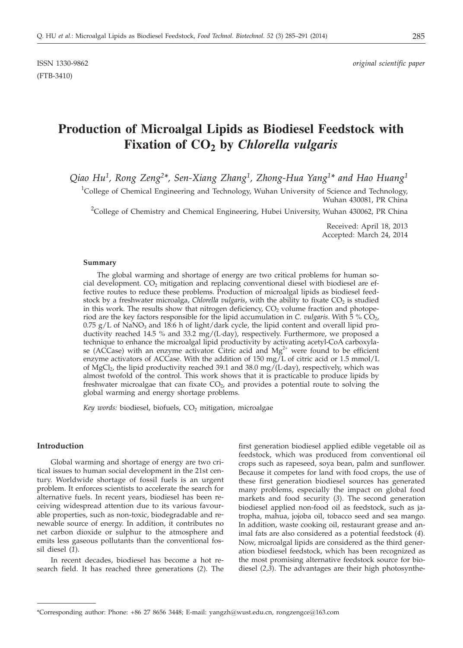ISSN 1330-9862 *original scientific paper*

# **Production of Microalgal Lipids as Biodiesel Feedstock with Fixation of CO2 by** *Chlorella vulgaris*

*Qiao Hu1, Rong Zeng2\*, Sen-Xiang Zhang1, Zhong-Hua Yang1\* and Hao Huang1*

<sup>1</sup>College of Chemical Engineering and Technology, Wuhan University of Science and Technology, Wuhan 430081, PR China

<sup>2</sup>College of Chemistry and Chemical Engineering, Hubei University, Wuhan 430062, PR China

Received: April 18, 2013 Accepted: March 24, 2014

#### **Summary**

The global warming and shortage of energy are two critical problems for human social development.  $CO<sub>2</sub>$  mitigation and replacing conventional diesel with biodiesel are effective routes to reduce these problems. Production of microalgal lipids as biodiesel feedstock by a freshwater microalga, *Chlorella vulgaris*, with the ability to fixate CO<sub>2</sub> is studied in this work. The results show that nitrogen deficiency,  $CO<sub>2</sub>$  volume fraction and photoperiod are the key factors responsible for the lipid accumulation in *C. vulgaris*. With  $\bar{5}$  %  $\overline{CO}_{2}$ ,  $0.75$  g/L of NaNO<sub>3</sub> and 18:6 h of light/dark cycle, the lipid content and overall lipid productivity reached 14.5 % and 33.2 mg/(L·day), respectively. Furthermore, we proposed a technique to enhance the microalgal lipid productivity by activating acetyl-CoA carboxylase (ACCase) with an enzyme activator. Citric acid and  $Mg^{2+}$  were found to be efficient enzyme activators of ACCase. With the addition of 150 mg/L of citric acid or 1.5 mmol/L of MgCl<sub>2</sub>, the lipid productivity reached 39.1 and 38.0 mg/(L·day), respectively, which was almost twofold of the control. This work shows that it is practicable to produce lipids by freshwater microalgae that can fixate  $CO<sub>2</sub>$ , and provides a potential route to solving the global warming and energy shortage problems.

Key words: biodiesel, biofuels, CO<sub>2</sub> mitigation, microalgae

## **Introduction**

Global warming and shortage of energy are two critical issues to human social development in the 21st century. Worldwide shortage of fossil fuels is an urgent problem. It enforces scientists to accelerate the search for alternative fuels. In recent years, biodiesel has been receiving widespread attention due to its various favourable properties, such as non-toxic, biodegradable and renewable source of energy. In addition, it contributes no net carbon dioxide or sulphur to the atmosphere and emits less gaseous pollutants than the conventional fossil diesel (*1*).

In recent decades, biodiesel has become a hot research field. It has reached three generations (*2*). The first generation biodiesel applied edible vegetable oil as feedstock, which was produced from conventional oil crops such as rapeseed, soya bean, palm and sunflower. Because it competes for land with food crops, the use of these first generation biodiesel sources has generated many problems, especially the impact on global food markets and food security (*3*). The second generation biodiesel applied non-food oil as feedstock, such as jatropha, mahua, jojoba oil, tobacco seed and sea mango. In addition, waste cooking oil, restaurant grease and animal fats are also considered as a potential feedstock (*4*). Now, microalgal lipids are considered as the third generation biodiesel feedstock, which has been recognized as the most promising alternative feedstock source for biodiesel (*2,3*). The advantages are their high photosynthe-

<sup>\*</sup>Corresponding author: Phone: +86 27 8656 3448; E-mail: yangzh@wust.edu.cn, rongzengce@163.com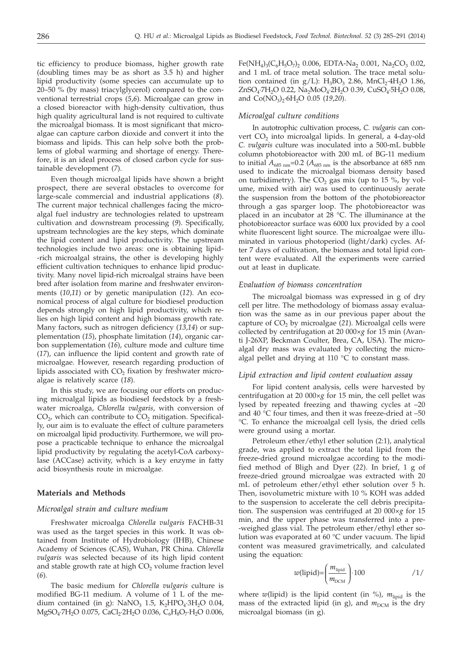tic efficiency to produce biomass, higher growth rate (doubling times may be as short as 3.5 h) and higher lipid productivity (some species can accumulate up to 20–50 % (by mass) triacylglycerol) compared to the conventional terrestrial crops (*5*,*6*). Microalgae can grow in a closed bioreactor with high-density cultivation, thus high quality agricultural land is not required to cultivate the microalgal biomass. It is most significant that microalgae can capture carbon dioxide and convert it into the biomass and lipids. This can help solve both the problems of global warming and shortage of energy. Therefore, it is an ideal process of closed carbon cycle for sustainable development (*7*).

Even though microalgal lipids have shown a bright prospect, there are several obstacles to overcome for large-scale commercial and industrial applications (*8*). The current major technical challenges facing the microalgal fuel industry are technologies related to upstream cultivation and downstream processing (*9*). Specifically, upstream technologies are the key steps, which dominate the lipid content and lipid productivity. The upstream technologies include two areas: one is obtaining lipid- -rich microalgal strains, the other is developing highly efficient cultivation techniques to enhance lipid productivity. Many novel lipid-rich microalgal strains have been bred after isolation from marine and freshwater environments (*10*,*11*) or by genetic manipulation (*12*). An economical process of algal culture for biodiesel production depends strongly on high lipid productivity, which relies on high lipid content and high biomass growth rate. Many factors, such as nitrogen deficiency (*13*,*14*) or supplementation (*15*), phosphate limitation (*14*), organic carbon supplementation (*16*), culture mode and culture time (*17*), can influence the lipid content and growth rate of microalgae. However, research regarding production of lipids associated with  $CO<sub>2</sub>$  fixation by freshwater microalgae is relatively scarce (*18*).

In this study, we are focusing our efforts on producing microalgal lipids as biodiesel feedstock by a freshwater microalga, *Chlorella vulgaris*, with conversion of  $CO<sub>2</sub>$ , which can contribute to  $CO<sub>2</sub>$  mitigation. Specifically, our aim is to evaluate the effect of culture parameters on microalgal lipid productivity. Furthermore, we will propose a practicable technique to enhance the microalgal lipid productivity by regulating the acetyl-CoA carboxylase (ACCase) activity, which is a key enzyme in fatty acid biosynthesis route in microalgae.

## **Materials and Methods**

#### *Microalgal strain and culture medium*

Freshwater microalga *Chlorella vulgaris* FACHB-31 was used as the target species in this work. It was obtained from Institute of Hydrobiology (IHB), Chinese Academy of Sciences (CAS), Wuhan, PR China. *Chlorella vulgaris* was selected because of its high lipid content and stable growth rate at high  $CO<sub>2</sub>$  volume fraction level (*6*).

The basic medium for *Chlorella vulgaris* culture is modified BG-11 medium. A volume of 1 L of the medium contained (in g):  $NaNO<sub>3</sub> 1.5$ ,  $K<sub>2</sub>HPO<sub>4</sub>·3H<sub>2</sub>O 0.04$ , MgSO<sub>4</sub>·7H<sub>2</sub>O 0.075, CaCl<sub>2</sub>·2H<sub>2</sub>O 0.036, C<sub>6</sub>H<sub>8</sub>O<sub>7</sub>·H<sub>2</sub>O 0.006,

Fe(NH<sub>4</sub>)<sub>3</sub>(C<sub>6</sub>H<sub>5</sub>O<sub>7</sub>)<sub>2</sub> 0.006, EDTA-Na<sub>2</sub> 0.001, Na<sub>2</sub>CO<sub>3</sub> 0.02, and 1 mL of trace metal solution. The trace metal solution contained (in  $g/L$ ): H<sub>3</sub>BO<sub>3</sub> 2.86, MnCl<sub>2</sub>·4H<sub>2</sub>O 1.86, ZnSO<sub>4</sub>·7H<sub>2</sub>O 0.22, Na<sub>2</sub>MoO<sub>4</sub>·2H<sub>2</sub>O 0.39, CuSO<sub>4</sub>·5H<sub>2</sub>O 0.08, and Co(NO<sub>3</sub>)<sub>2</sub>·6H<sub>2</sub>O 0.05 (19,20).

#### *Microalgal culture conditions*

In autotrophic cultivation process, *C. vulgaris* can convert  $CO<sub>2</sub>$  into microalgal lipids. In general, a 4-day-old *C. vulgaris* culture was inoculated into a 500-mL bubble column photobioreactor with 200 mL of BG-11 medium to initial  $A_{685 \text{ nm}}$ =0.2 ( $A_{685 \text{ nm}}$  is the absorbance at 685 nm used to indicate the microalgal biomass density based on turbidimetry). The  $CO<sub>2</sub>$  gas mix (up to 15 %, by volume, mixed with air) was used to continuously aerate the suspension from the bottom of the photobioreactor through a gas sparger loop. The photobioreactor was placed in an incubator at 28 °C. The illuminance at the photobioreactor surface was 6000 lux provided by a cool white fluorescent light source. The microalgae were illuminated in various photoperiod (light/dark) cycles. After 7 days of cultivation, the biomass and total lipid content were evaluated. All the experiments were carried out at least in duplicate.

#### *Evaluation of biomass concentration*

The microalgal biomass was expressed in g of dry cell per litre. The methodology of biomass assay evaluation was the same as in our previous paper about the capture of CO<sub>2</sub> by microalgae (21). Microalgal cells were collected by centrifugation at 20 000×*g* for 15 min (Avanti J-26XP, Beckman Coulter, Brea, CA, USA). The microalgal dry mass was evaluated by collecting the microalgal pellet and drying at 110 °C to constant mass.

## *Lipid extraction and lipid content evaluation assay*

For lipid content analysis, cells were harvested by centrifugation at 20 000×*g* for 15 min, the cell pellet was lysed by repeated freezing and thawing cycles at –20 and 40 °C four times, and then it was freeze-dried at –50 °C. To enhance the microalgal cell lysis, the dried cells were ground using a mortar.

Petroleum ether/ethyl ether solution (2:1), analytical grade, was applied to extract the total lipid from the freeze-dried ground microalgae according to the modified method of Bligh and Dyer (*22*). In brief, 1 g of freeze-dried ground microalgae was extracted with 20 mL of petroleum ether/ethyl ether solution over 5 h. Then, isovolumetric mixture with 10 % KOH was added to the suspension to accelerate the cell debris precipitation. The suspension was centrifuged at 20 000×*g* for 15 min, and the upper phase was transferred into a pre- -weighed glass vial. The petroleum ether/ethyl ether solution was evaporated at 60 °C under vacuum. The lipid content was measured gravimetrically, and calculated using the equation:

$$
w(\text{lipid}) = \left(\frac{m_{\text{lipid}}}{m_{\text{DCM}}}\right) \cdot 100 \qquad \qquad \frac{1}{}
$$

where  $w$ (lipid) is the lipid content (in  $\%$ ),  $m_{\text{liquid}}$  is the mass of the extracted lipid (in g), and  $m_{\text{DCM}}$  is the dry microalgal biomass (in g).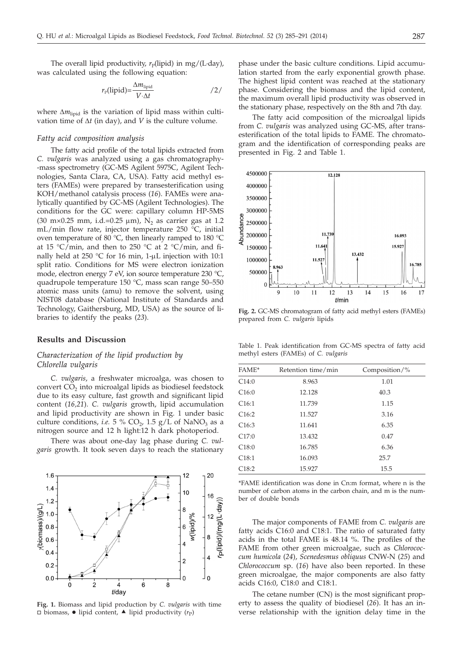The overall lipid productivity,  $r_P$ (lipid) in mg/(L·day), was calculated using the following equation:

$$
r_{\rm p}(\text{lipid}) = \frac{\Delta m_{\text{lipid}}}{V \cdot \Delta t} \tag{2}
$$

where  $\Delta m_{\text{lipid}}$  is the variation of lipid mass within cultivation time of  $\Delta t$  (in day), and *V* is the culture volume.

#### *Fatty acid composition analysis*

The fatty acid profile of the total lipids extracted from *C. vulgaris* was analyzed using a gas chromatography- -mass spectrometry (GC-MS Agilent 5975C, Agilent Technologies, Santa Clara, CA, USA). Fatty acid methyl esters (FAMEs) were prepared by transesterification using KOH/methanol catalysis process (*16*). FAMEs were analytically quantified by GC-MS (Agilent Technologies). The conditions for the GC were: capillary column HP-5MS (30 m×0.25 mm, i.d.=0.25  $\mu$ m), N<sub>2</sub> as carrier gas at 1.2 mL/min flow rate, injector temperature 250 °C, initial oven temperature of 80 °C, then linearly ramped to 180 °C at 15 °C/min, and then to 250 °C at 2 °C/min, and finally held at 250 °C for 16 min, 1- $\mu$ L injection with 10:1 split ratio. Conditions for MS were electron ionization mode, electron energy 7 eV, ion source temperature 230 °C, quadrupole temperature 150 °C, mass scan range 50–550 atomic mass units (amu) to remove the solvent, using NIST08 database (National Institute of Standards and Technology, Gaithersburg, MD, USA) as the source of libraries to identify the peaks (*23*).

## **Results and Discussion**

# *Characterization of the lipid production by Chlorella vulgaris*

*C. vulgaris*, a freshwater microalga, was chosen to convert  $CO<sub>2</sub>$  into microalgal lipids as biodiesel feedstock due to its easy culture, fast growth and significant lipid content (*16,21*). *C. vulgaris* growth, lipid accumulation and lipid productivity are shown in Fig. 1 under basic culture conditions, *i.e.* 5 %  $CO_2$ , 1.5 g/L of NaNO<sub>3</sub> as a nitrogen source and 12 h light:12 h dark photoperiod.

There was about one-day lag phase during *C. vulgaris* growth. It took seven days to reach the stationary



**Fig. 1.** Biomass and lipid production by *C. vulgaris* with time  $\Box$  biomass,  $\bullet$  lipid content,  $\blacktriangle$  lipid productivity ( $r_P$ )

phase under the basic culture conditions. Lipid accumulation started from the early exponential growth phase. The highest lipid content was reached at the stationary phase. Considering the biomass and the lipid content, the maximum overall lipid productivity was observed in the stationary phase, respectively on the 8th and 7th day.

The fatty acid composition of the microalgal lipids from *C. vulgaris* was analyzed using GC-MS, after transesterification of the total lipids to FAME. The chromatogram and the identification of corresponding peaks are presented in Fig. 2 and Table 1.



**Fig. 2.** GC-MS chromatogram of fatty acid methyl esters (FAMEs) prepared from *C. vulgaris* lipids

Table 1. Peak identification from GC-MS spectra of fatty acid methyl esters (FAMEs) of *C. vulgaris*

| FAME*             | Retention time/min | Composition/ $\%$ |
|-------------------|--------------------|-------------------|
| C14:0             | 8.963              | 1.01              |
| C16:0             | 12.128             | 40.3              |
| C16:1             | 11.739             | 1.15              |
| C16:2             | 11.527             | 3.16              |
| C <sub>16:3</sub> | 11.641             | 6.35              |
| C17:0             | 13.432             | 0.47              |
| C18:0             | 16.785             | 6.36              |
| C18:1             | 16.093             | 25.7              |
| C18:2             | 15.927             | 15.5              |

\*FAME identification was done in Cn:m format, where n is the number of carbon atoms in the carbon chain, and m is the number of double bonds

The major components of FAME from *C. vulgaris* are fatty acids C16:0 and C18:1. The ratio of saturated fatty acids in the total FAME is 48.14 %. The profiles of the FAME from other green microalgae, such as *Chlorococcum humicola* (*24*), *Scenedesmus obliquus* CNW-N (*25*) and *Chlorococcum* sp. (*16*) have also been reported. In these green microalgae, the major components are also fatty acids C16:0, C18:0 and C18:1.

The cetane number (CN) is the most significant property to assess the quality of biodiesel (*26*). It has an inverse relationship with the ignition delay time in the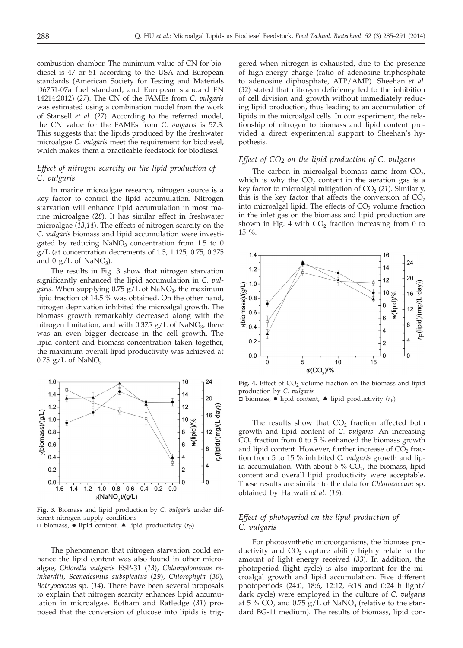combustion chamber. The minimum value of CN for biodiesel is 47 or 51 according to the USA and European standards (American Society for Testing and Materials D6751-07a fuel standard, and European standard EN 14214:2012) (*27*). The CN of the FAMEs from *C. vulgaris* was estimated using a combination model from the work of Stansell *et al.* (*27*). According to the referred model, the CN value for the FAMEs from *C. vulgaris* is 57.3. This suggests that the lipids produced by the freshwater microalgae *C. vulgaris* meet the requirement for biodiesel, which makes them a practicable feedstock for biodiesel.

# *Effect of nitrogen scarcity on the lipid production of C. vulgaris*

In marine microalgae research, nitrogen source is a key factor to control the lipid accumulation. Nitrogen starvation will enhance lipid accumulation in most marine microalgae (*28*). It has similar effect in freshwater microalgae (*13,14*). The effects of nitrogen scarcity on the *C. vulgaris* biomass and lipid accumulation were investigated by reducing  $NaNO<sub>3</sub>$  concentration from 1.5 to 0  $g/L$  (at concentration decrements of 1.5, 1.125, 0.75, 0.375 and  $0 g/L$  of NaNO<sub>3</sub>).

The results in Fig. 3 show that nitrogen starvation significantly enhanced the lipid accumulation in *C. vul*garis. When supplying 0.75 g/L of NaNO<sub>3</sub>, the maximum lipid fraction of 14.5 % was obtained. On the other hand, nitrogen deprivation inhibited the microalgal growth. The biomass growth remarkably decreased along with the nitrogen limitation, and with 0.375  $g/L$  of NaNO<sub>3</sub>, there was an even bigger decrease in the cell growth. The lipid content and biomass concentration taken together, the maximum overall lipid productivity was achieved at  $0.75$  g/L of NaNO<sub>3</sub>.



**Fig. 3.** Biomass and lipid production by *C. vulgaris* under different nitrogen supply conditions  $\Box$  biomass,  $\bullet$  lipid content,  $\blacktriangle$  lipid productivity ( $r_P$ )

The phenomenon that nitrogen starvation could enhance the lipid content was also found in other microalgae, *Chlorella vulgaris* ESP-31 (*13*), *Chlamydomonas reinhardtii*, *Scenedesmus subspicatus* (*29*), *Chlorophyta* (*30*), *Botryococcus* sp. (*14*). There have been several proposals to explain that nitrogen scarcity enhances lipid accumulation in microalgae. Botham and Ratledge (*31*) proposed that the conversion of glucose into lipids is trig-

gered when nitrogen is exhausted, due to the presence of high-energy charge (ratio of adenosine triphosphate to adenosine diphosphate, ATP/AMP). Sheehan *et al.* (*32*) stated that nitrogen deficiency led to the inhibition of cell division and growth without immediately reducing lipid production, thus leading to an accumulation of lipids in the microalgal cells. In our experiment, the relationship of nitrogen to biomass and lipid content provided a direct experimental support to Sheehan's hypothesis.

## *Effect of CO2 on the lipid production of C. vulgaris*

The carbon in microalgal biomass came from  $CO<sub>2</sub>$ , which is why the  $CO<sub>2</sub>$  content in the aeration gas is a key factor to microalgal mitigation of  $CO<sub>2</sub>$  (21). Similarly, this is the key factor that affects the conversion of  $CO<sub>2</sub>$ into microalgal lipid. The effects of  $CO<sub>2</sub>$  volume fraction in the inlet gas on the biomass and lipid production are shown in Fig. 4 with  $CO<sub>2</sub>$  fraction increasing from 0 to 15 %.



Fig. 4. Effect of CO<sub>2</sub> volume fraction on the biomass and lipid production by *C. vulgaris*  $\Box$  biomass,  $\bullet$  lipid content,  $\blacktriangle$  lipid productivity ( $r_P$ )

The results show that  $CO<sub>2</sub>$  fraction affected both growth and lipid content of *C. vulgaris*. An increasing  $CO<sub>2</sub>$  fraction from 0 to 5 % enhanced the biomass growth and lipid content. However, further increase of  $CO<sub>2</sub>$  fraction from 5 to 15 % inhibited *C. vulgaris* growth and lipid accumulation. With about 5 %  $CO<sub>2</sub>$ , the biomass, lipid content and overall lipid productivity were acceptable. These results are similar to the data for *Chlorococcum* sp. obtained by Harwati *et al.* (*16*).

# *Effect of photoperiod on the lipid production of C. vulgaris*

For photosynthetic microorganisms, the biomass productivity and  $CO<sub>2</sub>$  capture ability highly relate to the amount of light energy received (*33*). In addition, the photoperiod (light cycle) is also important for the microalgal growth and lipid accumulation. Five different photoperiods (24:0, 18:6, 12:12, 6:18 and 0:24 h light/ dark cycle) were employed in the culture of *C. vulgaris* at 5 % CO<sub>2</sub> and 0.75  $g/L$  of NaNO<sub>3</sub> (relative to the standard BG-11 medium). The results of biomass, lipid con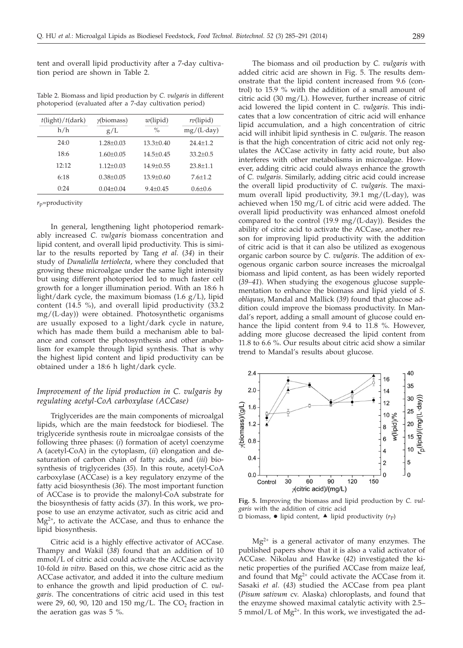tent and overall lipid productivity after a 7-day cultivation period are shown in Table 2.

Table 2. Biomass and lipid production by *C. vulgaris* in different photoperiod (evaluated after a 7-day cultivation period)

| $t$ (light)/ $t$ (dark)<br>h/h | $\gamma$ (biomass)<br>g/L | $w$ (lipid)<br>$\frac{0}{0}$ | $r_{\rm P}$ (lipid)<br>$mg/(L \cdot day)$ |
|--------------------------------|---------------------------|------------------------------|-------------------------------------------|
| 24:0                           | $1.28 + 0.03$             | $13.3 + 0.40$                | $24.4 + 1.2$                              |
| 18:6                           | $1.60 + 0.05$             | $14.5 + 0.45$                | $33.2 + 0.5$                              |
| 12:12                          | $1.12 + 0.03$             | $14.9 + 0.55$                | $23.8 + 1.1$                              |
| 6:18                           | $0.38 + 0.05$             | $13.9 + 0.60$                | $7.6 + 1.2$                               |
| 0:24                           | $0.04 + 0.04$             | $9.4 + 0.45$                 | $0.6 + 0.6$                               |

*r*p=productivity

In general, lengthening light photoperiod remarkably increased *C. vulgaris* biomass concentration and lipid content, and overall lipid productivity. This is similar to the results reported by Tang *et al.* (*34*) in their study of *Dunaliella tertiolecta*, where they concluded that growing these microalgae under the same light intensity but using different photoperiod led to much faster cell growth for a longer illumination period. With an 18:6 h light/dark cycle, the maximum biomass  $(1.6 \text{ g/L})$ , lipid content (14.5 %), and overall lipid productivity (33.2 mg/(L·day)) were obtained. Photosynthetic organisms are usually exposed to a light/dark cycle in nature, which has made them build a mechanism able to balance and consort the photosynthesis and other anabolism for example through lipid synthesis. That is why the highest lipid content and lipid productivity can be obtained under a 18:6 h light/dark cycle.

# *Improvement of the lipid production in C. vulgaris by regulating acetyl-CoA carboxylase (ACCase)*

Triglycerides are the main components of microalgal lipids, which are the main feedstock for biodiesel. The triglyceride synthesis route in microalgae consists of the following three phases: (*i*) formation of acetyl coenzyme A (acetyl-CoA) in the cytoplasm, (*ii*) elongation and desaturation of carbon chain of fatty acids, and (*iii*) biosynthesis of triglycerides (*35*). In this route, acetyl-CoA carboxylase (ACCase) is a key regulatory enzyme of the fatty acid biosynthesis (*36*). The most important function of ACCase is to provide the malonyl-CoA substrate for the biosynthesis of fatty acids (*37*). In this work, we propose to use an enzyme activator, such as citric acid and  $Mg^{2+}$ , to activate the ACCase, and thus to enhance the lipid biosynthesis.

Citric acid is a highly effective activator of ACCase. Thampy and Wakil (*38*) found that an addition of 10 mmol/L of citric acid could activate the ACCase activity 10-fold *in vitro*. Based on this, we chose citric acid as the ACCase activator, and added it into the culture medium to enhance the growth and lipid production of *C. vulgaris*. The concentrations of citric acid used in this test were  $29$ , 60, 90, 120 and 150 mg/L. The CO<sub>2</sub> fraction in the aeration gas was 5 %.

The biomass and oil production by *C. vulgaris* with added citric acid are shown in Fig. 5. The results demonstrate that the lipid content increased from 9.6 (control) to 15.9 % with the addition of a small amount of citric acid (30 mg/L). However, further increase of citric acid lowered the lipid content in *C. vulgaris*. This indicates that a low concentration of citric acid will enhance lipid accumulation, and a high concentration of citric acid will inhibit lipid synthesis in *C. vulgaris*. The reason is that the high concentration of citric acid not only regulates the ACCase activity in fatty acid route, but also interferes with other metabolisms in microalgae. However, adding citric acid could always enhance the growth of *C. vulgaris*. Similarly, adding citric acid could increase the overall lipid productivity of *C. vulgaris*. The maximum overall lipid productivity, 39.1 mg/(L·day), was achieved when 150 mg/L of citric acid were added. The overall lipid productivity was enhanced almost onefold compared to the control (19.9 mg/(L·day)). Besides the ability of citric acid to activate the ACCase, another reason for improving lipid productivity with the addition of citric acid is that it can also be utilized as exogenous organic carbon source by *C. vulgaris*. The addition of exogenous organic carbon source increases the microalgal biomass and lipid content, as has been widely reported (*39–41*). When studying the exogenous glucose supplementation to enhance the biomass and lipid yield of *S. obliquus*, Mandal and Mallick (*39*) found that glucose addition could improve the biomass productivity. In Mandal's report, adding a small amount of glucose could enhance the lipid content from 9.4 to 11.8 %. However, adding more glucose decreased the lipid content from 11.8 to 6.6 %. Our results about citric acid show a similar trend to Mandal's results about glucose.



**Fig. 5.** Improving the biomass and lipid production by *C. vulgaris* with the addition of citric acid  $\overline{\Box}$  biomass,  $\bullet$  lipid content,  $\blacktriangle$  lipid productivity ( $r_P$ )

 $Mg^{2+}$  is a general activator of many enzymes. The published papers show that it is also a valid activator of ACCase. Nikolau and Hawke (*42*) investigated the kinetic properties of the purified ACCase from maize leaf, and found that  $Mg^{2+}$  could activate the ACCase from it. Sasaki *et al.* (*43*) studied the ACCase from pea plant (*Pisum sativum* cv. Alaska) chloroplasts, and found that the enzyme showed maximal catalytic activity with 2.5–  $5$  mmol/L of Mg<sup>2+</sup>. In this work, we investigated the ad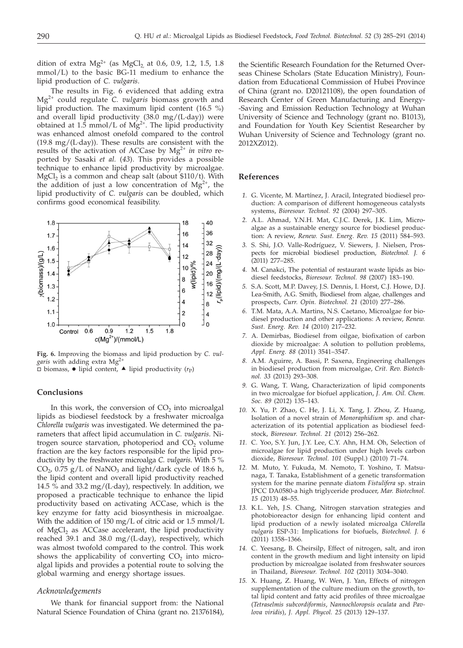dition of extra  $Mg^{2+}$  (as  $MgCl_2$  at 0.6, 0.9, 1.2, 1.5, 1.8 mmol/L) to the basic BG-11 medium to enhance the lipid production of *C. vulgaris*.

The results in Fig. 6 evidenced that adding extra Mg2+ could regulate *C. vulgaris* biomass growth and lipid production. The maximum lipid content (16.5 %) and overall lipid productivity (38.0 mg/(L·day)) were obtained at 1.5 mmol/L of  $Mg^{2+}$ . The lipid productivity was enhanced almost onefold compared to the control  $(19.8 \text{ mg}/(L \cdot day))$ . These results are consistent with the results of the activation of ACCase by Mg<sup>2+</sup> in vitro reported by Sasaki *et al.* (*43*). This provides a possible technique to enhance lipid productivity by microalgae.  $MgCl<sub>2</sub>$  is a common and cheap salt (about \$110/t). With the addition of just a low concentration of  $Mg^{2+}$ , the lipid productivity of *C. vulgaris* can be doubled, which confirms good economical feasibility.



**Fig. 6.** Improving the biomass and lipid production by *C. vulgaris* with adding extra Mg2+  $\overline{\Box}$  biomass,  $\bullet$  lipid content,  $\blacktriangle$  lipid productivity ( $r_P$ )

#### **Conclusions**

In this work, the conversion of  $CO<sub>2</sub>$  into microalgal lipids as biodiesel feedstock by a freshwater microalga *Chlorella vulgaris* was investigated. We determined the parameters that affect lipid accumulation in *C. vulgaris*. Nitrogen source starvation, photoperiod and  $CO<sub>2</sub>$  volume fraction are the key factors responsible for the lipid productivity by the freshwater microalga *C. vulgaris*. With 5 %  $CO<sub>2</sub>$ , 0.75 g/L of NaNO<sub>3</sub> and light/dark cycle of 18:6 h, the lipid content and overall lipid productivity reached 14.5 % and 33.2 mg/(L·day), respectively. In addition, we proposed a practicable technique to enhance the lipid productivity based on activating ACCase, which is the key enzyme for fatty acid biosynthesis in microalgae. With the addition of 150 mg/L of citric acid or 1.5 mmol/L of MgCl<sub>2</sub> as ACCase accelerant, the lipid productivity reached 39.1 and 38.0 mg/(L·day), respectively, which was almost twofold compared to the control. This work shows the applicability of converting  $CO<sub>2</sub>$  into microalgal lipids and provides a potential route to solving the global warming and energy shortage issues.

#### *Acknowledgements*

We thank for financial support from: the National Natural Science Foundation of China (grant no. 21376184),

the Scientific Research Foundation for the Returned Overseas Chinese Scholars (State Education Ministry), Foundation from Educational Commission of Hubei Province of China (grant no. D20121108), the open foundation of Research Center of Green Manufacturing and Energy- -Saving and Emission Reduction Technology at Wuhan University of Science and Technology (grant no. B1013), and Foundation for Youth Key Scientist Researcher by Wuhan University of Science and Technology (grant no. 2012XZ012).

## **References**

- *1.* G. Vicente, M. Martínez, J. Aracil, Integrated biodiesel production: A comparison of different homogeneous catalysts systems, *Bioresour. Technol. 92* (2004) 297–305.
- *2.* A.L. Ahmad, Y.N.H. Mat, C.J.C. Derek, J.K. Lim, Microalgae as a sustainable energy source for biodiesel production: A review, *Renew. Sust. Energ. Rev. 15* (2011) 584–593.
- *3.* S. Shi, J.O. Valle-Rodríguez, V. Siewers, J. Nielsen, Prospects for microbial biodiesel production, *Biotechnol. J. 6* (2011) 277–285.
- *4.* M. Canakci, The potential of restaurant waste lipids as biodiesel feedstocks, *Bioresour. Technol. 98* (2007) 183–190.
- *5.* S.A. Scott, M.P. Davey, J.S. Dennis, I. Horst, C.J. Howe, D.J. Lea-Smith, A.G. Smith, Biodiesel from algae, challenges and prospects, *Curr. Opin. Biotechnol. 21* (2010) 277–286.
- *6.* T.M. Mata, A.A. Martins, N.S. Caetano, Microalgae for biodiesel production and other applications: A review, *Renew. Sust. Energ. Rev. 14* (2010) 217–232.
- *7.* A. Demirbas, Biodiesel from oilgae, biofixation of carbon dioxide by microalgae: A solution to pollution problems, *Appl. Energ. 88* (2011) 3541–3547.
- *8.* A.M. Aguirre, A. Bassi, P. Saxena, Engineering challenges in biodiesel production from microalgae, *Crit. Rev. Biotechnol. 33* (2013) 293–308.
- *9.* G. Wang, T. Wang, Characterization of lipid components in two microalgae for biofuel application, *J. Am. Oil. Chem. Soc. 89* (2012) 135–143.
- *10.* X. Yu, P. Zhao, C. He, J. Li, X. Tang, J. Zhou, Z. Huang, Isolation of a novel strain of *Monoraphidium* sp. and characterization of its potential application as biodiesel feedstock, *Bioresour. Technol. 21* (2012) 256–262.
- *11.* C. Yoo, S.Y. Jun, J.Y. Lee, C.Y. Ahn, H.M. Oh, Selection of microalgae for lipid production under high levels carbon dioxide, *Bioresour. Technol. 101* (Suppl.) (2010) 71–74.
- *12.* M. Muto, Y. Fukuda, M. Nemoto, T. Yoshino, T. Matsunaga, T. Tanaka, Establishment of a genetic transformation system for the marine pennate diatom *Fistulifera* sp. strain JPCC DA0580-a high triglyceride producer, *Mar. Biotechnol. 15* (2013) 48–55.
- *13.* K.L. Yeh, J.S. Chang, Nitrogen starvation strategies and photobioreactor design for enhancing lipid content and lipid production of a newly isolated microalga *Chlorella vulgaris* ESP-31: Implications for biofuels, *Biotechnol. J. 6* (2011) 1358–1366.
- *14.* C. Yeesang, B. Cheirsilp, Effect of nitrogen, salt, and iron content in the growth medium and light intensity on lipid production by microalgae isolated from freshwater sources in Thailand, *Bioresour. Technol. 102* (2011) 3034–3040.
- *15.* X. Huang, Z. Huang, W. Wen, J. Yan, Effects of nitrogen supplementation of the culture medium on the growth, total lipid content and fatty acid profiles of three microalgae (*Tetraselmis subcordiformis*, *Nannochloropsis oculata* and *Pavlova viridis*), *J. Appl. Phycol. 25* (2013) 129–137.